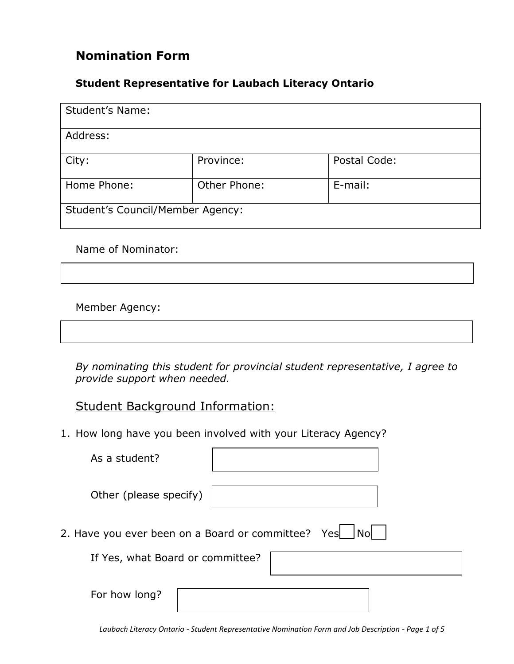# **Nomination Form**

#### **Student Representative for Laubach Literacy Ontario**

| <b>Student's Name:</b>                  |              |              |  |  |
|-----------------------------------------|--------------|--------------|--|--|
| Address:                                |              |              |  |  |
| City:                                   | Province:    | Postal Code: |  |  |
| Home Phone:                             | Other Phone: | E-mail:      |  |  |
| <b>Student's Council/Member Agency:</b> |              |              |  |  |

Name of Nominator:

Member Agency:

*By nominating this student for provincial student representative, I agree to provide support when needed.*

#### Student Background Information:

1. How long have you been involved with your Literacy Agency?

| As a student?                                         |  |  |  |  |  |
|-------------------------------------------------------|--|--|--|--|--|
| Other (please specify)                                |  |  |  |  |  |
| 2. Have you ever been on a Board or committee? Yes No |  |  |  |  |  |
| If Yes, what Board or committee?                      |  |  |  |  |  |
| For how long?                                         |  |  |  |  |  |

*Laubach Literacy Ontario - Student Representative Nomination Form and Job Description - Page 1 of 5*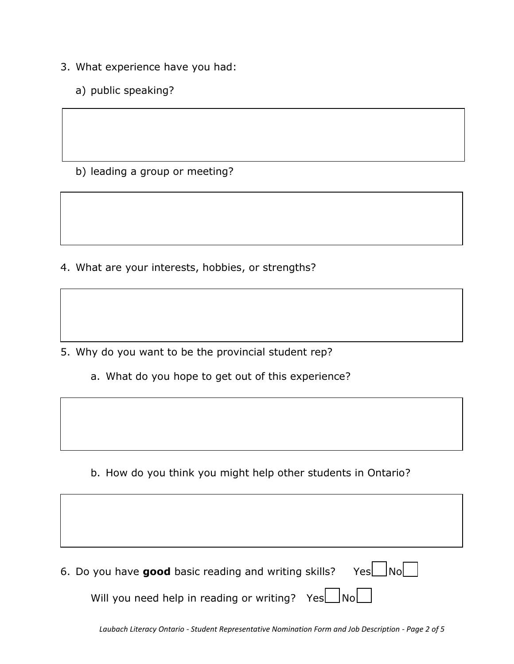- 3. What experience have you had:
	- a) public speaking?

b) leading a group or meeting?

4. What are your interests, hobbies, or strengths?

5. Why do you want to be the provincial student rep?

a. What do you hope to get out of this experience?

b. How do you think you might help other students in Ontario?

|  |  |  |  |  |  | 6. Do you have good basic reading and writing skills? Yes No |  |  |  |  |  |  |
|--|--|--|--|--|--|--------------------------------------------------------------|--|--|--|--|--|--|
|--|--|--|--|--|--|--------------------------------------------------------------|--|--|--|--|--|--|

Will you need help in reading or writing? Yes $\Box$ No $\Box$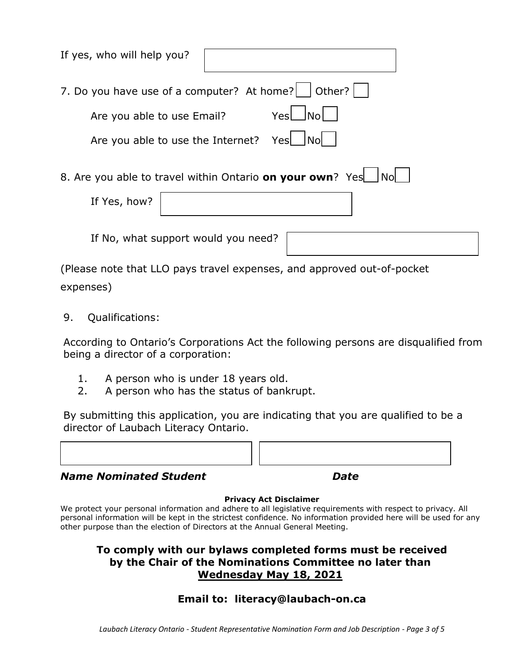| If yes, who will help you?                                                     |      |      |  |  |  |
|--------------------------------------------------------------------------------|------|------|--|--|--|
| 7. Do you have use of a computer? At home?   Other?                            |      |      |  |  |  |
| Are you able to use Email?                                                     | YesL | lNol |  |  |  |
| Are you able to use the Internet?                                              | Yesl | lNol |  |  |  |
| 8. Are you able to travel within Ontario on your own? Yes   No<br>If Yes, how? |      |      |  |  |  |
| If No, what support would you need?                                            |      |      |  |  |  |

(Please note that LLO pays travel expenses, and approved out-of-pocket

expenses)

9. Qualifications:

According to Ontario's Corporations Act the following persons are disqualified from being a director of a corporation:

- 1. A person who is under 18 years old.
- 2. A person who has the status of bankrupt.

By submitting this application, you are indicating that you are qualified to be a director of Laubach Literacy Ontario.

| $M = 1$ | r.c |  |
|---------|-----|--|
|         |     |  |
|         |     |  |

#### *Name Nominated Student Date*

#### **Privacy Act Disclaimer**

We protect your personal information and adhere to all legislative requirements with respect to privacy. All personal information will be kept in the strictest confidence. No information provided here will be used for any other purpose than the election of Directors at the Annual General Meeting.

#### **To comply with our bylaws completed forms must be received by the Chair of the Nominations Committee no later than Wednesday May 18, 2021**

## **Email to: literacy@laubach-on.ca**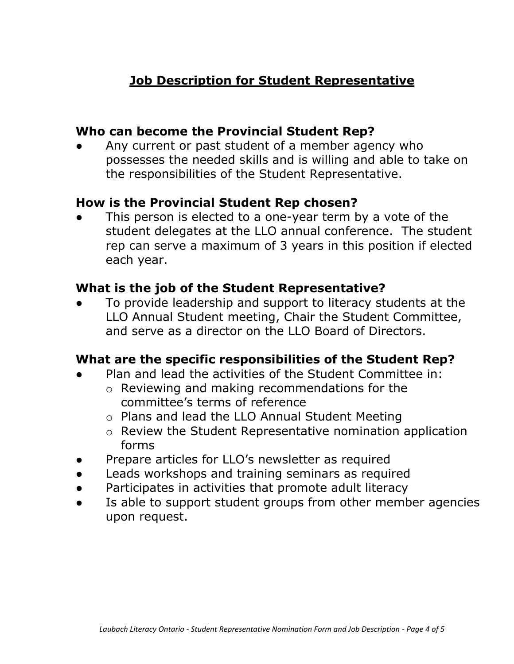# **Job Description for Student Representative**

### **Who can become the Provincial Student Rep?**

Any current or past student of a member agency who possesses the needed skills and is willing and able to take on the responsibilities of the Student Representative.

### **How is the Provincial Student Rep chosen?**

This person is elected to a one-year term by a vote of the student delegates at the LLO annual conference. The student rep can serve a maximum of 3 years in this position if elected each year.

### **What is the job of the Student Representative?**

To provide leadership and support to literacy students at the LLO Annual Student meeting, Chair the Student Committee, and serve as a director on the LLO Board of Directors.

#### **What are the specific responsibilities of the Student Rep?**

- Plan and lead the activities of the Student Committee in:
	- o Reviewing and making recommendations for the committee's terms of reference
	- o Plans and lead the LLO Annual Student Meeting
	- o Review the Student Representative nomination application forms
- Prepare articles for LLO's newsletter as required
- Leads workshops and training seminars as required
- **●** Participates in activities that promote adult literacy
- Is able to support student groups from other member agencies upon request.